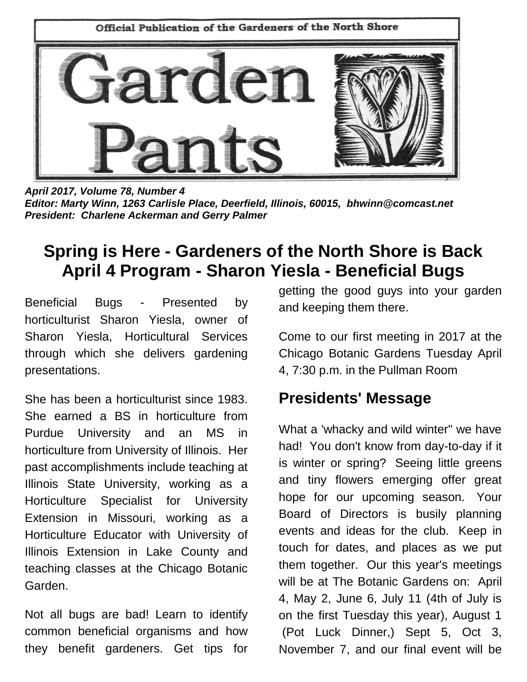

*April 2017, Volume 78, Number 4 Editor: Marty Winn, 1263 Carlisle Place, Deerfield, Illinois, 60015, bhwinn@comcast.net President: Charlene Ackerman and Gerry Palmer*

# **Spring is Here - Gardeners of the North Shore is Back April 4 Program - Sharon Yiesla - Beneficial Bugs**

Beneficial Bugs - Presented by horticulturist Sharon Yiesla, owner of Sharon Yiesla, Horticultural Services through which she delivers gardening presentations.

She has been a horticulturist since 1983. She earned a BS in horticulture from Purdue University and an MS in horticulture from University of Illinois. Her past accomplishments include teaching at Illinois State University, working as a Horticulture Specialist for University Extension in Missouri, working as a Horticulture Educator with University of Illinois Extension in Lake County and teaching classes at the Chicago Botanic Garden.

Not all bugs are bad! Learn to identify common beneficial organisms and how they benefit gardeners. Get tips for

getting the good guys into your garden and keeping them there.

Come to our first meeting in 2017 at the Chicago Botanic Gardens Tuesday April 4, 7:30 p.m. in the Pullman Room

# **Presidents' Message**

What a 'whacky and wild winter" we have had! You don't know from day-to-day if it is winter or spring? Seeing little greens and tiny flowers emerging offer great hope for our upcoming season. Your Board of Directors is busily planning events and ideas for the club. Keep in touch for dates, and places as we put them together. Our this year's meetings will be at The Botanic Gardens on: April 4, May 2, June 6, July 11 (4th of July is on the first Tuesday this year), August 1 (Pot Luck Dinner,) Sept 5, Oct 3, November 7, and our final event will be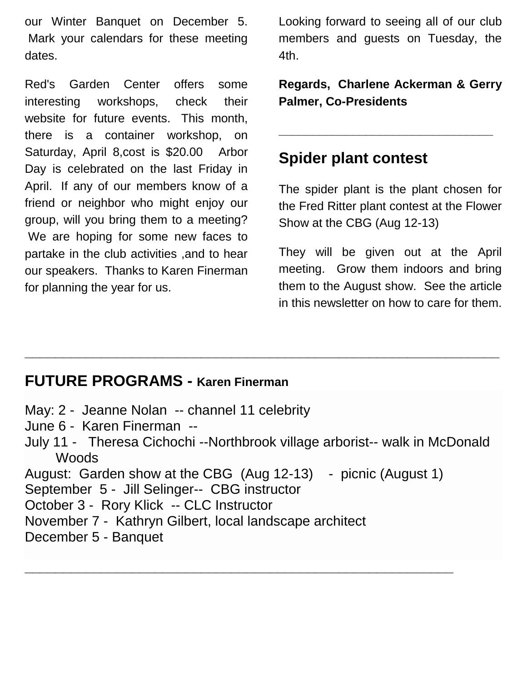our Winter Banquet on December 5. Mark your calendars for these meeting dates.

Red's Garden Center offers some interesting workshops, check their website for future events. This month, there is a container workshop, on Saturday, April 8,cost is \$20.00 Arbor Day is celebrated on the last Friday in April. If any of our members know of a friend or neighbor who might enjoy our group, will you bring them to a meeting? We are hoping for some new faces to partake in the club activities ,and to hear our speakers. Thanks to Karen Finerman for planning the year for us.

Looking forward to seeing all of our club members and guests on Tuesday, the 4th.

**Regards, Charlene Ackerman & Gerry Palmer, Co-Presidents**

**\_\_\_\_\_\_\_\_\_\_\_\_\_\_\_\_\_\_\_\_\_\_\_\_\_\_\_\_\_\_\_\_**

# **Spider plant contest**

The spider plant is the plant chosen for the Fred Ritter plant contest at the Flower Show at the CBG (Aug 12-13)

They will be given out at the April meeting. Grow them indoors and bring them to the August show. See the article in this newsletter on how to care for them.

### **FUTURE PROGRAMS - Karen Finerman**

May: 2 - Jeanne Nolan -- channel 11 celebrity June 6 - Karen Finerman -- July 11 - Theresa Cichochi --Northbrook village arborist-- walk in McDonald **Woods** August: Garden show at the CBG (Aug 12-13) - picnic (August 1) September 5 - Jill Selinger-- CBG instructor October 3 - Rory Klick -- CLC Instructor November 7 - Kathryn Gilbert, local landscape architect December 5 - Banquet

**\_\_\_\_\_\_\_\_\_\_\_\_\_\_\_\_\_\_\_\_\_\_\_\_\_\_\_\_\_\_\_\_\_\_\_\_\_\_\_\_\_\_\_\_\_\_\_\_\_\_\_\_\_\_\_\_**

**\_\_\_\_\_\_\_\_\_\_\_\_\_\_\_\_\_\_\_\_\_\_\_\_\_\_\_\_\_\_\_\_\_\_\_\_\_\_\_\_\_\_\_\_\_\_\_\_\_\_\_\_\_\_\_\_\_\_\_\_\_\_**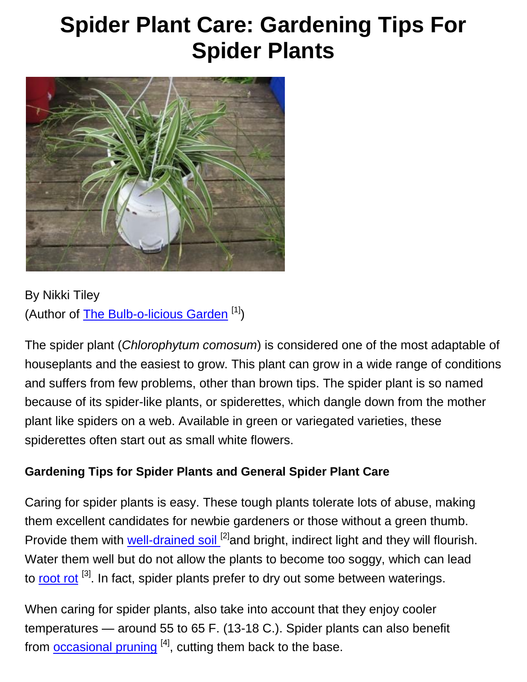# **Spider Plant Care: Gardening Tips For Spider Plants**



By Nikki Tiley (Author of [The Bulb-o-licious Garden](http://www.lulu.com/spotlight/niphipps70)<sup>[1]</sup>)

The spider plant (*Chlorophytum comosum*) is considered one of the most adaptable of houseplants and the easiest to grow. This plant can grow in a wide range of conditions and suffers from few problems, other than brown tips. The spider plant is so named because of its spider-like plants, or spiderettes, which dangle down from the mother plant like spiders on a web. Available in green or variegated varieties, these spiderettes often start out as small white flowers.

### **Gardening Tips for Spider Plants and General Spider Plant Care**

Caring for spider plants is easy. These tough plants tolerate lots of abuse, making them excellent candidates for newbie gardeners or those without a green thumb. Provide them with [well-drained soil](https://www.gardeningknowhow.com/garden-how-to/soil-fertilizers/soilless-growing-mediums.htm) <sup>[2]</sup>and bright, indirect light and they will flourish. Water them well but do not allow the plants to become too soggy, which can lead to [root rot](https://www.gardeningknowhow.com/plant-problems/disease/treating-root-rot-gardening-tips-for-housplants.htm) <sup>[3]</sup>. In fact, spider plants prefer to dry out some between waterings.

When caring for spider plants, also take into account that they enjoy cooler temperatures — around 55 to 65 F. (13-18 C.). Spider plants can also benefit from **[occasional pruning](https://www.gardeningknowhow.com/houseplants/spider-plant/pruning-spider-plants.htm)** [4], cutting them back to the base.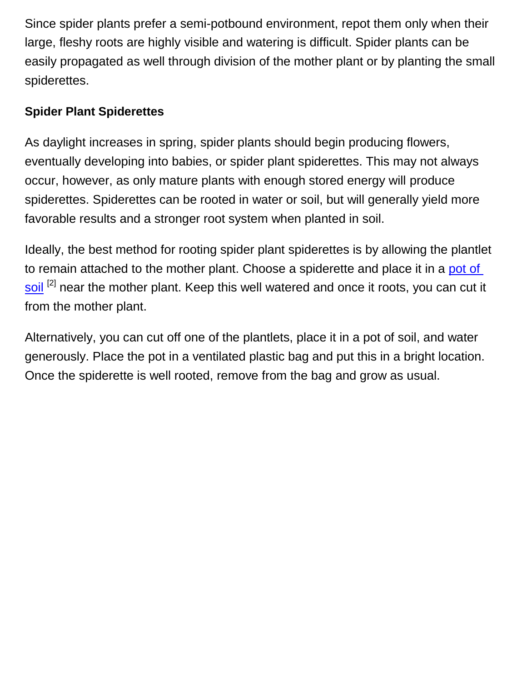Since spider plants prefer a semi-potbound environment, repot them only when their large, fleshy roots are highly visible and watering is difficult. Spider plants can be easily propagated as well through division of the mother plant or by planting the small spiderettes.

### **Spider Plant Spiderettes**

As daylight increases in spring, spider plants should begin producing flowers, eventually developing into babies, or spider plant spiderettes. This may not always occur, however, as only mature plants with enough stored energy will produce spiderettes. Spiderettes can be rooted in water or soil, but will generally yield more favorable results and a stronger root system when planted in soil.

Ideally, the best method for rooting spider plant spiderettes is by allowing the plantlet to remain attached to the mother plant. Choose a spiderette and place it in a [pot of](https://www.gardeningknowhow.com/garden-how-to/soil-fertilizers/soilless-growing-mediums.htm)  [soil](https://www.gardeningknowhow.com/garden-how-to/soil-fertilizers/soilless-growing-mediums.htm)<sup>[2]</sup> near the mother plant. Keep this well watered and once it roots, you can cut it from the mother plant.

Alternatively, you can cut off one of the plantlets, place it in a pot of soil, and water generously. Place the pot in a ventilated plastic bag and put this in a bright location. Once the spiderette is well rooted, remove from the bag and grow as usual.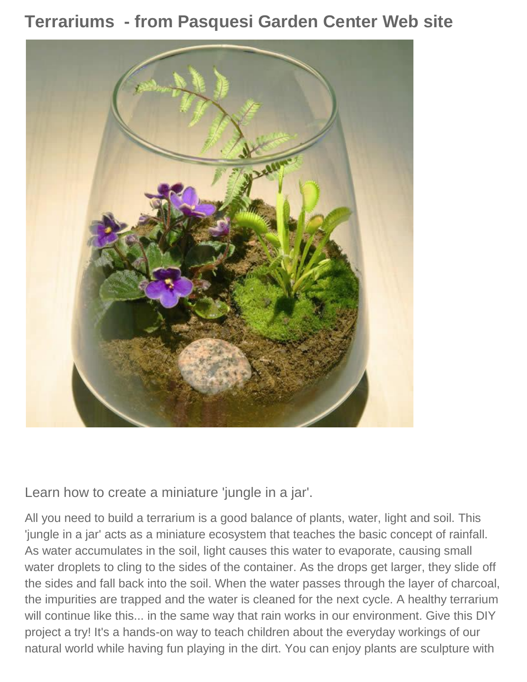**Terrariums - from Pasquesi Garden Center Web site**



Learn how to create a miniature 'jungle in a jar'.

All you need to build a terrarium is a good balance of plants, water, light and soil. This 'jungle in a jar' acts as a miniature ecosystem that teaches the basic concept of rainfall. As water accumulates in the soil, light causes this water to evaporate, causing small water droplets to cling to the sides of the container. As the drops get larger, they slide off the sides and fall back into the soil. When the water passes through the layer of charcoal, the impurities are trapped and the water is cleaned for the next cycle. A healthy terrarium will continue like this... in the same way that rain works in our environment. Give this DIY project a try! It's a hands-on way to teach children about the everyday workings of our natural world while having fun playing in the dirt. You can enjoy plants are sculpture with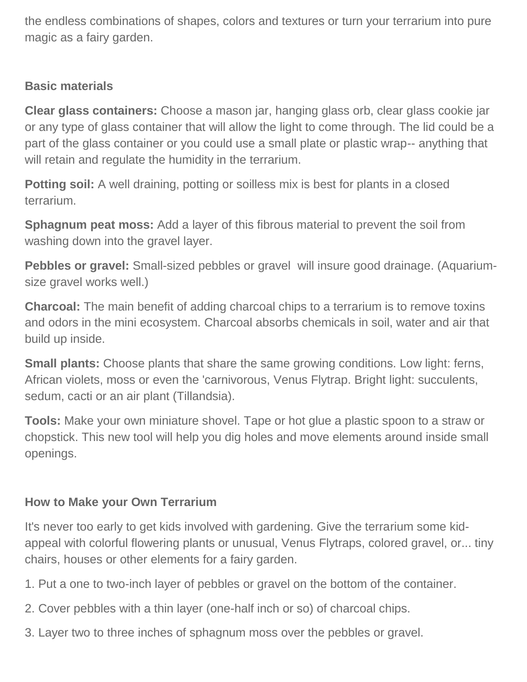the endless combinations of shapes, colors and textures or turn your terrarium into pure magic as a fairy garden.

### **Basic materials**

**Clear glass containers:** Choose a mason jar, hanging glass orb, clear glass cookie jar or any type of glass container that will allow the light to come through. The lid could be a part of the glass container or you could use a small plate or plastic wrap-- anything that will retain and regulate the humidity in the terrarium.

**Potting soil:** A well draining, potting or soilless mix is best for plants in a closed terrarium.

**Sphagnum peat moss:** Add a layer of this fibrous material to prevent the soil from washing down into the gravel layer.

**Pebbles or gravel:** Small-sized pebbles or gravel will insure good drainage. (Aquariumsize gravel works well.)

**Charcoal:** The main benefit of adding charcoal chips to a terrarium is to remove toxins and odors in the mini ecosystem. Charcoal absorbs chemicals in soil, water and air that build up inside.

**Small plants:** Choose plants that share the same growing conditions. Low light: ferns, African violets, moss or even the 'carnivorous, Venus Flytrap. Bright light: succulents, sedum, cacti or an air plant (Tillandsia).

**Tools:** Make your own miniature shovel. Tape or hot glue a plastic spoon to a straw or chopstick. This new tool will help you dig holes and move elements around inside small openings.

### **How to Make your Own Terrarium**

It's never too early to get kids involved with gardening. Give the terrarium some kidappeal with colorful flowering plants or unusual, Venus Flytraps, colored gravel, or... tiny chairs, houses or other elements for a fairy garden.

- 1. Put a one to two-inch layer of pebbles or gravel on the bottom of the container.
- 2. Cover pebbles with a thin layer (one-half inch or so) of charcoal chips.
- 3. Layer two to three inches of sphagnum moss over the pebbles or gravel.